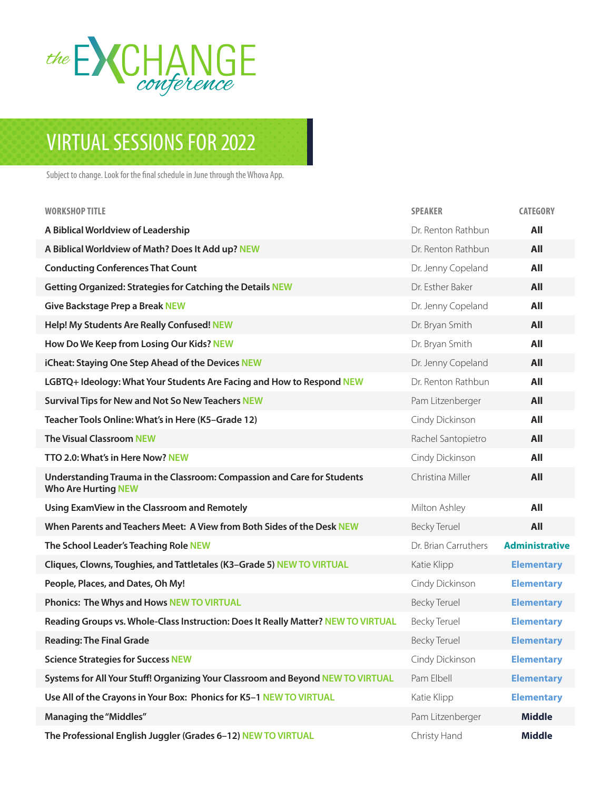

## VIRTUAL SESSIONS FOR 2022

Subject to change. Look for the final schedule in June through the Whova App.

| <b>WORKSHOP TITLE</b>                                                                                 | <b>SPEAKER</b>       | <b>CATEGORY</b>       |
|-------------------------------------------------------------------------------------------------------|----------------------|-----------------------|
| A Biblical Worldview of Leadership                                                                    | Dr. Renton Rathbun   | All                   |
| A Biblical Worldview of Math? Does It Add up? NEW                                                     | Dr. Renton Rathbun   | All                   |
| <b>Conducting Conferences That Count</b>                                                              | Dr. Jenny Copeland   | All                   |
| <b>Getting Organized: Strategies for Catching the Details NEW</b>                                     | Dr. Esther Baker     | All                   |
| <b>Give Backstage Prep a Break NEW</b>                                                                | Dr. Jenny Copeland   | All                   |
| Help! My Students Are Really Confused! NEW                                                            | Dr. Bryan Smith      | All                   |
| How Do We Keep from Losing Our Kids? NEW                                                              | Dr. Bryan Smith      | All                   |
| iCheat: Staying One Step Ahead of the Devices NEW                                                     | Dr. Jenny Copeland   | All                   |
| LGBTQ+ Ideology: What Your Students Are Facing and How to Respond NEW                                 | Dr. Renton Rathbun   | All                   |
| <b>Survival Tips for New and Not So New Teachers NEW</b>                                              | Pam Litzenberger     | All                   |
| Teacher Tools Online: What's in Here (K5-Grade 12)                                                    | Cindy Dickinson      | All                   |
| <b>The Visual Classroom NEW</b>                                                                       | Rachel Santopietro   | All                   |
| TTO 2.0: What's in Here Now? NEW                                                                      | Cindy Dickinson      | All                   |
| Understanding Trauma in the Classroom: Compassion and Care for Students<br><b>Who Are Hurting NEW</b> | Christina Miller     | All                   |
| Using ExamView in the Classroom and Remotely                                                          | Milton Ashley        | All                   |
| When Parents and Teachers Meet: A View from Both Sides of the Desk NEW                                | <b>Becky Teruel</b>  | All                   |
| The School Leader's Teaching Role NEW                                                                 | Dr. Brian Carruthers | <b>Administrative</b> |
| Cliques, Clowns, Toughies, and Tattletales (K3-Grade 5) NEW TO VIRTUAL                                | Katie Klipp          | <b>Elementary</b>     |
| People, Places, and Dates, Oh My!                                                                     | Cindy Dickinson      | <b>Elementary</b>     |
| Phonics: The Whys and Hows NEW TO VIRTUAL                                                             | <b>Becky Teruel</b>  | <b>Elementary</b>     |
| Reading Groups vs. Whole-Class Instruction: Does It Really Matter? NEW TO VIRTUAL                     | <b>Becky Teruel</b>  | <b>Elementary</b>     |
| <b>Reading: The Final Grade</b>                                                                       | <b>Becky Teruel</b>  | <b>Elementary</b>     |
| <b>Science Strategies for Success NEW</b>                                                             | Cindy Dickinson      | <b>Elementary</b>     |
| Systems for All Your Stuff! Organizing Your Classroom and Beyond NEW TO VIRTUAL                       | Pam Elbell           | <b>Elementary</b>     |
| Use All of the Crayons in Your Box: Phonics for K5-1 NEW TO VIRTUAL                                   | Katie Klipp          | <b>Elementary</b>     |
| <b>Managing the "Middles"</b>                                                                         | Pam Litzenberger     | <b>Middle</b>         |
| The Professional English Juggler (Grades 6-12) NEW TO VIRTUAL                                         | Christy Hand         | <b>Middle</b>         |